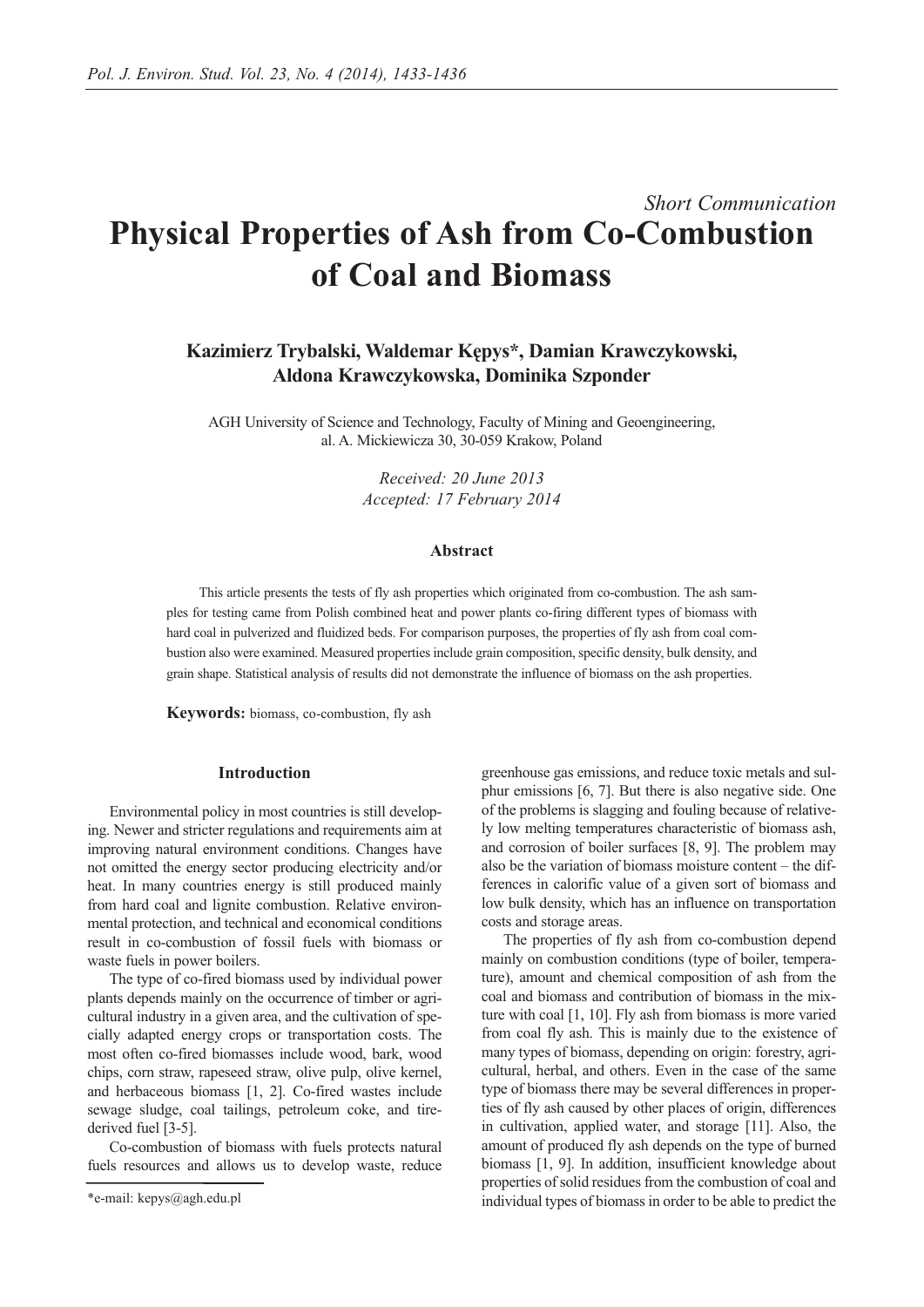# *Short Communication* **Physical Properties of Ash from Co-Combustion of Coal and Biomass**

**Kazimierz Trybalski, Waldemar Kępys\*, Damian Krawczykowski, Aldona Krawczykowska, Dominika Szponder**

AGH University of Science and Technology, Faculty of Mining and Geoengineering, al. A. Mickiewicza 30, 30-059 Krakow, Poland

> *Received: 20 June 2013 Accepted: 17 February 2014*

## **Abstract**

This article presents the tests of fly ash properties which originated from co-combustion. The ash samples for testing came from Polish combined heat and power plants co-firing different types of biomass with hard coal in pulverized and fluidized beds. For comparison purposes, the properties of fly ash from coal combustion also were examined. Measured properties include grain composition, specific density, bulk density, and grain shape. Statistical analysis of results did not demonstrate the influence of biomass on the ash properties.

**Keywords:** biomass, co-combustion, fly ash

# **Introduction**

Environmental policy in most countries is still developing. Newer and stricter regulations and requirements aim at improving natural environment conditions. Changes have not omitted the energy sector producing electricity and/or heat. In many countries energy is still produced mainly from hard coal and lignite combustion. Relative environmental protection, and technical and economical conditions result in co-combustion of fossil fuels with biomass or waste fuels in power boilers.

The type of co-fired biomass used by individual power plants depends mainly on the occurrence of timber or agricultural industry in a given area, and the cultivation of specially adapted energy crops or transportation costs. The most often co-fired biomasses include wood, bark, wood chips, corn straw, rapeseed straw, olive pulp, olive kernel, and herbaceous biomass [1, 2]. Co-fired wastes include sewage sludge, coal tailings, petroleum coke, and tirederived fuel [3-5].

Co-combustion of biomass with fuels protects natural fuels resources and allows us to develop waste, reduce greenhouse gas emissions, and reduce toxic metals and sulphur emissions [6, 7]. But there is also negative side. One of the problems is slagging and fouling because of relatively low melting temperatures characteristic of biomass ash, and corrosion of boiler surfaces [8, 9]. The problem may also be the variation of biomass moisture content – the differences in calorific value of a given sort of biomass and low bulk density, which has an influence on transportation costs and storage areas.

The properties of fly ash from co-combustion depend mainly on combustion conditions (type of boiler, temperature), amount and chemical composition of ash from the coal and biomass and contribution of biomass in the mixture with coal [1, 10]. Fly ash from biomass is more varied from coal fly ash. This is mainly due to the existence of many types of biomass, depending on origin: forestry, agricultural, herbal, and others. Even in the case of the same type of biomass there may be several differences in properties of fly ash caused by other places of origin, differences in cultivation, applied water, and storage [11]. Also, the amount of produced fly ash depends on the type of burned biomass [1, 9]. In addition, insufficient knowledge about properties of solid residues from the combustion of coal and individual types of biomass in order to be able to predict the

<sup>\*</sup>e-mail: kepys@agh.edu.pl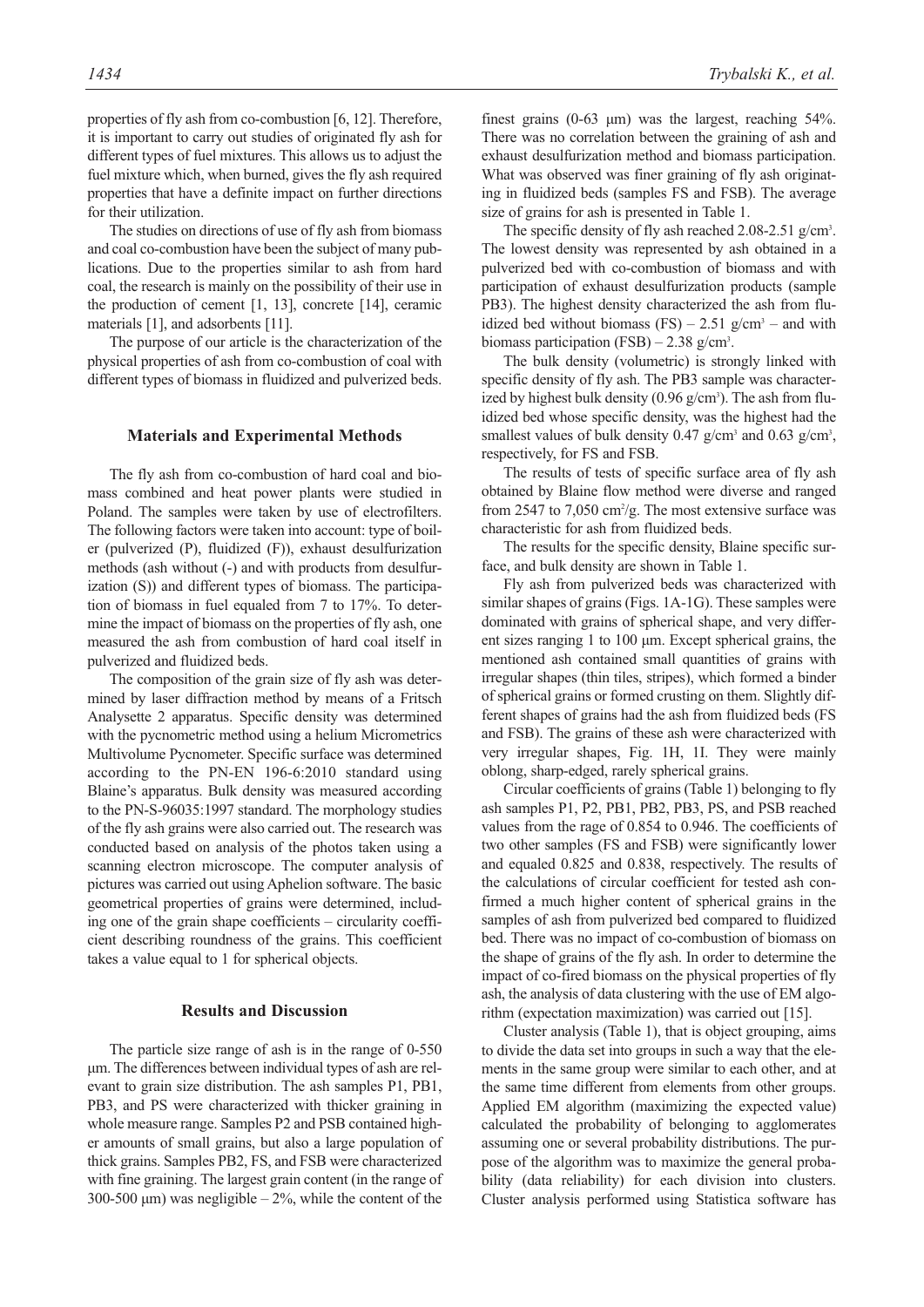properties of fly ash from co-combustion [6, 12]. Therefore, it is important to carry out studies of originated fly ash for different types of fuel mixtures. This allows us to adjust the fuel mixture which, when burned, gives the fly ash required properties that have a definite impact on further directions for their utilization.

The studies on directions of use of fly ash from biomass and coal co-combustion have been the subject of many publications. Due to the properties similar to ash from hard coal, the research is mainly on the possibility of their use in the production of cement [1, 13], concrete [14], ceramic materials [1], and adsorbents [11].

The purpose of our article is the characterization of the physical properties of ash from co-combustion of coal with different types of biomass in fluidized and pulverized beds.

#### **Materials and Experimental Methods**

The fly ash from co-combustion of hard coal and biomass combined and heat power plants were studied in Poland. The samples were taken by use of electrofilters. The following factors were taken into account: type of boiler (pulverized (P), fluidized (F)), exhaust desulfurization methods (ash without (-) and with products from desulfurization (S)) and different types of biomass. The participation of biomass in fuel equaled from 7 to 17%. To determine the impact of biomass on the properties of fly ash, one measured the ash from combustion of hard coal itself in pulverized and fluidized beds.

The composition of the grain size of fly ash was determined by laser diffraction method by means of a Fritsch Analysette 2 apparatus. Specific density was determined with the pycnometric method using a helium Micrometrics Multivolume Pycnometer. Specific surface was determined according to the PN-EN 196-6:2010 standard using Blaine's apparatus. Bulk density was measured according to the PN-S-96035:1997 standard. The morphology studies of the fly ash grains were also carried out. The research was conducted based on analysis of the photos taken using a scanning electron microscope. The computer analysis of pictures was carried out using Aphelion software. The basic geometrical properties of grains were determined, including one of the grain shape coefficients – circularity coefficient describing roundness of the grains. This coefficient takes a value equal to 1 for spherical objects.

#### **Results and Discussion**

The particle size range of ash is in the range of 0-550 μm. The differences between individual types of ash are relevant to grain size distribution. The ash samples P1, PB1, PB3, and PS were characterized with thicker graining in whole measure range. Samples P2 and PSB contained higher amounts of small grains, but also a large population of thick grains. Samples PB2, FS, and FSB were characterized with fine graining. The largest grain content (in the range of 300-500  $\mu$ m) was negligible – 2%, while the content of the

finest grains  $(0-63 \mu m)$  was the largest, reaching 54%. There was no correlation between the graining of ash and exhaust desulfurization method and biomass participation. What was observed was finer graining of fly ash originating in fluidized beds (samples FS and FSB). The average size of grains for ash is presented in Table 1.

The specific density of fly ash reached 2.08-2.51 g/cm<sup>3</sup>. The lowest density was represented by ash obtained in a pulverized bed with co-combustion of biomass and with participation of exhaust desulfurization products (sample PB3). The highest density characterized the ash from fluidized bed without biomass  $(FS) - 2.51$  g/cm<sup>3</sup> – and with biomass participation (FSB)  $- 2.38$  g/cm<sup>3</sup>.

The bulk density (volumetric) is strongly linked with specific density of fly ash. The PB3 sample was characterized by highest bulk density  $(0.96 \text{ g/cm}^3)$ . The ash from fluidized bed whose specific density, was the highest had the smallest values of bulk density 0.47  $g/cm^3$  and 0.63  $g/cm^3$ , respectively, for FS and FSB.

The results of tests of specific surface area of fly ash obtained by Blaine flow method were diverse and ranged from 2547 to 7,050 cm<sup>2</sup>/g. The most extensive surface was characteristic for ash from fluidized beds.

The results for the specific density, Blaine specific surface, and bulk density are shown in Table 1.

Fly ash from pulverized beds was characterized with similar shapes of grains (Figs. 1A-1G). These samples were dominated with grains of spherical shape, and very different sizes ranging 1 to 100 μm. Except spherical grains, the mentioned ash contained small quantities of grains with irregular shapes (thin tiles, stripes), which formed a binder of spherical grains or formed crusting on them. Slightly different shapes of grains had the ash from fluidized beds (FS and FSB). The grains of these ash were characterized with very irregular shapes, Fig. 1H, 1I. They were mainly oblong, sharp-edged, rarely spherical grains.

Circular coefficients of grains (Table 1) belonging to fly ash samples P1, P2, PB1, PB2, PB3, PS, and PSB reached values from the rage of 0.854 to 0.946. The coefficients of two other samples (FS and FSB) were significantly lower and equaled 0.825 and 0.838, respectively. The results of the calculations of circular coefficient for tested ash confirmed a much higher content of spherical grains in the samples of ash from pulverized bed compared to fluidized bed. There was no impact of co-combustion of biomass on the shape of grains of the fly ash. In order to determine the impact of co-fired biomass on the physical properties of fly ash, the analysis of data clustering with the use of EM algorithm (expectation maximization) was carried out [15].

Cluster analysis (Table 1), that is object grouping, aims to divide the data set into groups in such a way that the elements in the same group were similar to each other, and at the same time different from elements from other groups. Applied EM algorithm (maximizing the expected value) calculated the probability of belonging to agglomerates assuming one or several probability distributions. The purpose of the algorithm was to maximize the general probability (data reliability) for each division into clusters. Cluster analysis performed using Statistica software has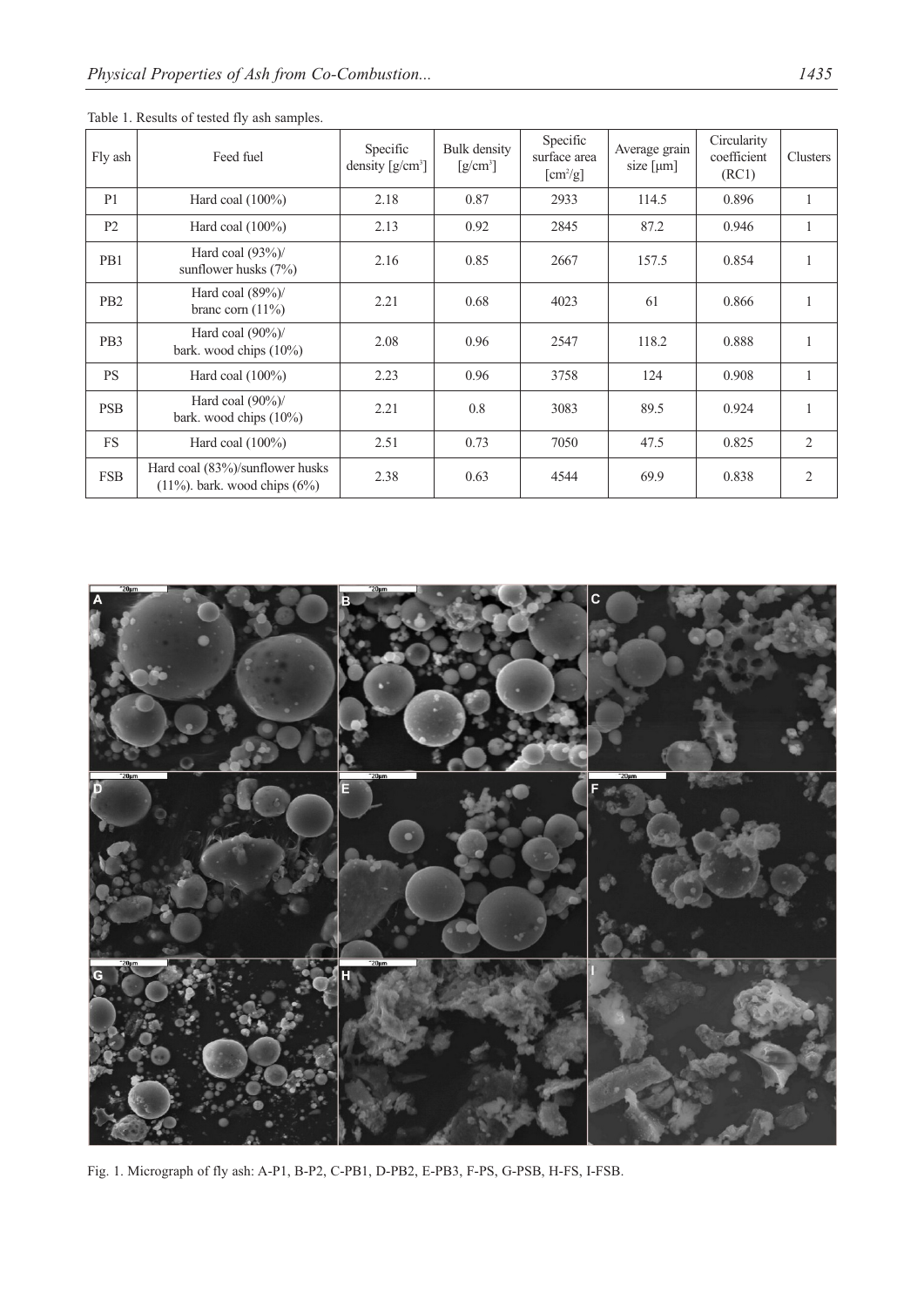| Fly ash         | Feed fuel                                                              | Specific<br>density $[g/cm^3]$ | Bulk density<br>$[g/cm^3]$ | Specific<br>surface area<br>$[cm^2/g]$ | Average grain<br>size $[µm]$ | Circularity<br>coefficient<br>(RC1) | Clusters       |
|-----------------|------------------------------------------------------------------------|--------------------------------|----------------------------|----------------------------------------|------------------------------|-------------------------------------|----------------|
| P <sub>1</sub>  | Hard coal $(100\%)$                                                    | 2.18                           | 0.87                       | 2933                                   | 114.5                        | 0.896                               |                |
| P <sub>2</sub>  | Hard coal $(100\%)$                                                    | 2.13                           | 0.92                       | 2845                                   | 87.2                         | 0.946                               | $\mathbf{1}$   |
| PB1             | Hard coal $(93\%)$<br>sunflower husks $(7%)$                           | 2.16                           | 0.85                       | 2667                                   | 157.5                        | 0.854                               |                |
| P <sub>B2</sub> | Hard coal $(89\%)$<br>branc corn $(11\%)$                              | 2.21                           | 0.68                       | 4023                                   | 61                           | 0.866                               |                |
| PB <sub>3</sub> | Hard coal $(90\%)$<br>bark. wood chips (10%)                           | 2.08                           | 0.96                       | 2547                                   | 118.2                        | 0.888                               |                |
| <b>PS</b>       | Hard coal $(100\%)$                                                    | 2.23                           | 0.96                       | 3758                                   | 124                          | 0.908                               | $\mathbf{1}$   |
| <b>PSB</b>      | Hard coal $(90\%)$<br>bark. wood chips $(10\%)$                        | 2.21                           | 0.8                        | 3083                                   | 89.5                         | 0.924                               |                |
| <b>FS</b>       | Hard coal $(100\%)$                                                    | 2.51                           | 0.73                       | 7050                                   | 47.5                         | 0.825                               | $\overline{2}$ |
| <b>FSB</b>      | Hard coal (83%)/sunflower husks<br>$(11\%)$ , bark, wood chips $(6\%)$ | 2.38                           | 0.63                       | 4544                                   | 69.9                         | 0.838                               | 2              |

Table 1. Results of tested fly ash samples.



Fig. 1. Micrograph of fly ash: A-P1, B-P2, C-PB1, D-PB2, E-PB3, F-PS, G-PSB, H-FS, I-FSB.